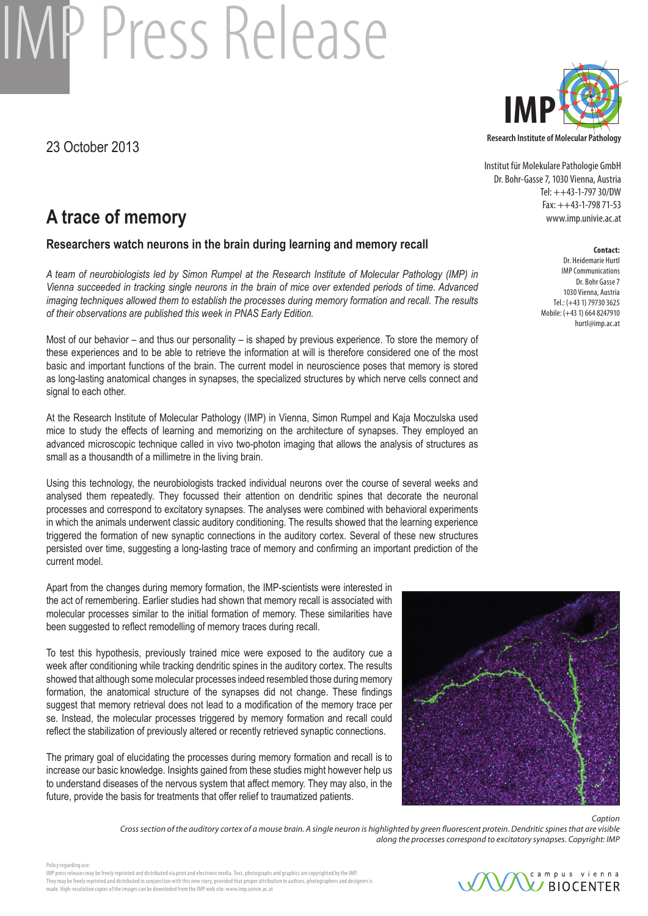# **IP Press Release**

23 October 2013



Institut für Molekulare Pathologie GmbH Dr. Bohr-Gasse 7, 1030 Vienna, Austria Tel: ++43-1-797 30/DW Fax: ++43-1-798 71-53 www.imp.univie.ac.at

# **Contact:**

Dr. Heidemarie Hurtl IMP Communications Dr. Bohr Gasse 7 1030 Vienna, Austria Tel.: (+43 1) 79730 3625 Mobile: (+43 1) 664 8247910 hurtl@imp.ac.at

# **A trace of memory**

### **Researchers watch neurons in the brain during learning and memory recall**

*A team of neurobiologists led by Simon Rumpel at the Research Institute of Molecular Pathology (IMP) in Vienna succeeded in tracking single neurons in the brain of mice over extended periods of time. Advanced imaging techniques allowed them to establish the processes during memory formation and recall. The results of their observations are published this week in PNAS Early Edition.*

Most of our behavior – and thus our personality – is shaped by previous experience. To store the memory of these experiences and to be able to retrieve the information at will is therefore considered one of the most basic and important functions of the brain. The current model in neuroscience poses that memory is stored as long-lasting anatomical changes in synapses, the specialized structures by which nerve cells connect and signal to each other.

At the Research Institute of Molecular Pathology (IMP) in Vienna, Simon Rumpel and Kaja Moczulska used mice to study the effects of learning and memorizing on the architecture of synapses. They employed an advanced microscopic technique called in vivo two-photon imaging that allows the analysis of structures as small as a thousandth of a millimetre in the living brain.

Using this technology, the neurobiologists tracked individual neurons over the course of several weeks and analysed them repeatedly. They focussed their attention on dendritic spines that decorate the neuronal processes and correspond to excitatory synapses. The analyses were combined with behavioral experiments in which the animals underwent classic auditory conditioning. The results showed that the learning experience triggered the formation of new synaptic connections in the auditory cortex. Several of these new structures persisted over time, suggesting a long-lasting trace of memory and confirming an important prediction of the current model.

Apart from the changes during memory formation, the IMP-scientists were interested in the act of remembering. Earlier studies had shown that memory recall is associated with molecular processes similar to the initial formation of memory. These similarities have been suggested to reflect remodelling of memory traces during recall.

To test this hypothesis, previously trained mice were exposed to the auditory cue a week after conditioning while tracking dendritic spines in the auditory cortex. The results showed that although some molecular processes indeed resembled those during memory formation, the anatomical structure of the synapses did not change. These findings suggest that memory retrieval does not lead to a modification of the memory trace per se. Instead, the molecular processes triggered by memory formation and recall could reflect the stabilization of previously altered or recently retrieved synaptic connections.

The primary goal of elucidating the processes during memory formation and recall is to increase our basic knowledge. Insights gained from these studies might however help us to understand diseases of the nervous system that affect memory. They may also, in the future, provide the basis for treatments that offer relief to traumatized patients.



*Caption* 

*Cross section of the auditory cortex of a mouse brain. A single neuron is highlighted by green fluorescent protein. Dendritic spines that are visible along the processes correspond to excitatory synapses. Copyright: IMP*

Policy regarding use: IMP press releases may be freely reprinted and distributed via print and electronic media. Text, photographs and graphics are copyrighted by the IMP.

They may be freely reprinted and distributed in conjunction with this new story, provided that proper attribution to authors, photographers and designers is made. High-resolution copies of the images can be downloded from the IMP web site: www.imp.univie.ac.at